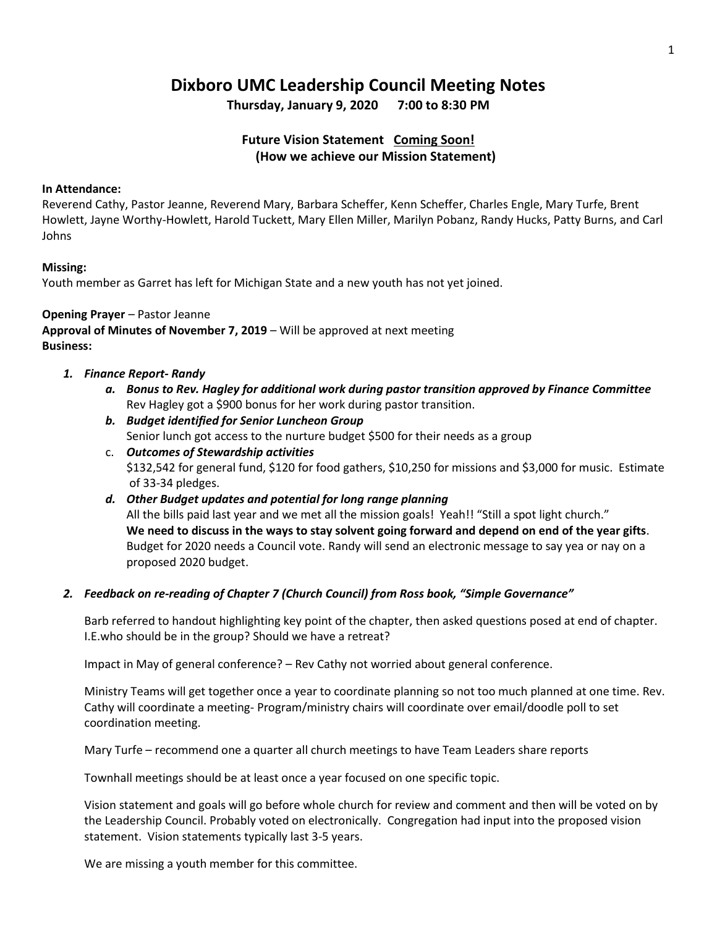# **Dixboro UMC Leadership Council Meeting Notes**

**Thursday, January 9, 2020 7:00 to 8:30 PM**

## **Future Vision Statement Coming Soon! (How we achieve our Mission Statement)**

#### **In Attendance:**

Reverend Cathy, Pastor Jeanne, Reverend Mary, Barbara Scheffer, Kenn Scheffer, Charles Engle, Mary Turfe, Brent Howlett, Jayne Worthy-Howlett, Harold Tuckett, Mary Ellen Miller, Marilyn Pobanz, Randy Hucks, Patty Burns, and Carl Johns

#### **Missing:**

Youth member as Garret has left for Michigan State and a new youth has not yet joined.

## **Opening Prayer** – Pastor Jeanne

**Approval of Minutes of November 7, 2019** – Will be approved at next meeting **Business:**

- *1. Finance Report- Randy*
	- *a. Bonus to Rev. Hagley for additional work during pastor transition approved by Finance Committee* Rev Hagley got a \$900 bonus for her work during pastor transition.
	- *b. Budget identified for Senior Luncheon Group* Senior lunch got access to the nurture budget \$500 for their needs as a group
	- c. *Outcomes of Stewardship activities* \$132,542 for general fund, \$120 for food gathers, \$10,250 for missions and \$3,000 for music. Estimate of 33-34 pledges.
	- *d. Other Budget updates and potential for long range planning* All the bills paid last year and we met all the mission goals! Yeah!! "Still a spot light church." **We need to discuss in the ways to stay solvent going forward and depend on end of the year gifts**. Budget for 2020 needs a Council vote. Randy will send an electronic message to say yea or nay on a proposed 2020 budget.

## *2. Feedback on re-reading of Chapter 7 (Church Council) from Ross book, "Simple Governance"*

Barb referred to handout highlighting key point of the chapter, then asked questions posed at end of chapter. I.E.who should be in the group? Should we have a retreat?

Impact in May of general conference? – Rev Cathy not worried about general conference.

Ministry Teams will get together once a year to coordinate planning so not too much planned at one time. Rev. Cathy will coordinate a meeting- Program/ministry chairs will coordinate over email/doodle poll to set coordination meeting.

Mary Turfe – recommend one a quarter all church meetings to have Team Leaders share reports

Townhall meetings should be at least once a year focused on one specific topic.

Vision statement and goals will go before whole church for review and comment and then will be voted on by the Leadership Council. Probably voted on electronically. Congregation had input into the proposed vision statement. Vision statements typically last 3-5 years.

We are missing a youth member for this committee.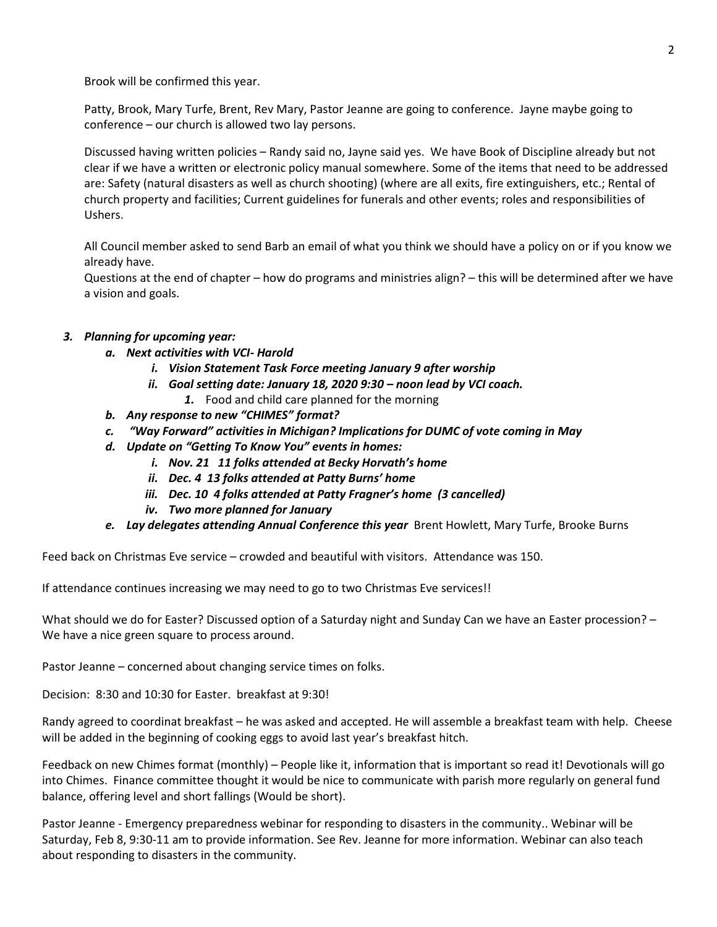Brook will be confirmed this year.

Patty, Brook, Mary Turfe, Brent, Rev Mary, Pastor Jeanne are going to conference. Jayne maybe going to conference – our church is allowed two lay persons.

Discussed having written policies – Randy said no, Jayne said yes. We have Book of Discipline already but not clear if we have a written or electronic policy manual somewhere. Some of the items that need to be addressed are: Safety (natural disasters as well as church shooting) (where are all exits, fire extinguishers, etc.; Rental of church property and facilities; Current guidelines for funerals and other events; roles and responsibilities of Ushers.

All Council member asked to send Barb an email of what you think we should have a policy on or if you know we already have.

Questions at the end of chapter – how do programs and ministries align? – this will be determined after we have a vision and goals.

## *3. Planning for upcoming year:*

- *a. Next activities with VCI- Harold*
	- *i. Vision Statement Task Force meeting January 9 after worship*
	- *ii. Goal setting date: January 18, 2020 9:30 – noon lead by VCI coach.*
		- *1.* Food and child care planned for the morning
- *b. Any response to new "CHIMES" format?*
- *c. "Way Forward" activities in Michigan? Implications for DUMC of vote coming in May*
- *d. Update on "Getting To Know You" events in homes:*
	- *i. Nov. 21 11 folks attended at Becky Horvath's home*
	- *ii. Dec. 4 13 folks attended at Patty Burns' home*
	- *iii. Dec. 10 4 folks attended at Patty Fragner's home (3 cancelled)*
	- *iv. Two more planned for January*
- *e. Lay delegates attending Annual Conference this year* Brent Howlett, Mary Turfe, Brooke Burns

Feed back on Christmas Eve service – crowded and beautiful with visitors. Attendance was 150.

If attendance continues increasing we may need to go to two Christmas Eve services!!

What should we do for Easter? Discussed option of a Saturday night and Sunday Can we have an Easter procession? – We have a nice green square to process around.

Pastor Jeanne – concerned about changing service times on folks.

Decision: 8:30 and 10:30 for Easter. breakfast at 9:30!

Randy agreed to coordinat breakfast – he was asked and accepted. He will assemble a breakfast team with help. Cheese will be added in the beginning of cooking eggs to avoid last year's breakfast hitch.

Feedback on new Chimes format (monthly) – People like it, information that is important so read it! Devotionals will go into Chimes. Finance committee thought it would be nice to communicate with parish more regularly on general fund balance, offering level and short fallings (Would be short).

Pastor Jeanne - Emergency preparedness webinar for responding to disasters in the community.. Webinar will be Saturday, Feb 8, 9:30-11 am to provide information. See Rev. Jeanne for more information. Webinar can also teach about responding to disasters in the community.